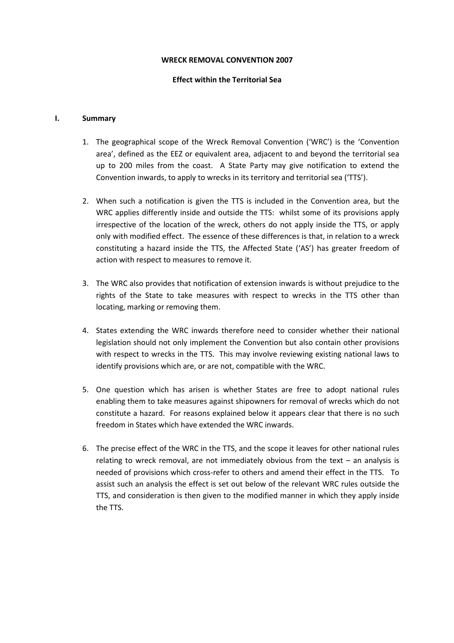#### WRECK REMOVAL CONVENTION 2007

### Effect within the Territorial Sea

### I. Summary

- 1. The geographical scope of the Wreck Removal Convention ('WRC') is the 'Convention area', defined as the EEZ or equivalent area, adjacent to and beyond the territorial sea up to 200 miles from the coast. A State Party may give notification to extend the Convention inwards, to apply to wrecks in its territory and territorial sea ('TTS').
- 2. When such a notification is given the TTS is included in the Convention area, but the WRC applies differently inside and outside the TTS: whilst some of its provisions apply irrespective of the location of the wreck, others do not apply inside the TTS, or apply only with modified effect. The essence of these differences is that, in relation to a wreck constituting a hazard inside the TTS, the Affected State ('AS') has greater freedom of action with respect to measures to remove it.
- 3. The WRC also provides that notification of extension inwards is without prejudice to the rights of the State to take measures with respect to wrecks in the TTS other than locating, marking or removing them.
- 4. States extending the WRC inwards therefore need to consider whether their national legislation should not only implement the Convention but also contain other provisions with respect to wrecks in the TTS. This may involve reviewing existing national laws to identify provisions which are, or are not, compatible with the WRC.
- 5. One question which has arisen is whether States are free to adopt national rules enabling them to take measures against shipowners for removal of wrecks which do not constitute a hazard. For reasons explained below it appears clear that there is no such freedom in States which have extended the WRC inwards.
- 6. The precise effect of the WRC in the TTS, and the scope it leaves for other national rules relating to wreck removal, are not immediately obvious from the text – an analysis is needed of provisions which cross-refer to others and amend their effect in the TTS. To assist such an analysis the effect is set out below of the relevant WRC rules outside the TTS, and consideration is then given to the modified manner in which they apply inside the TTS.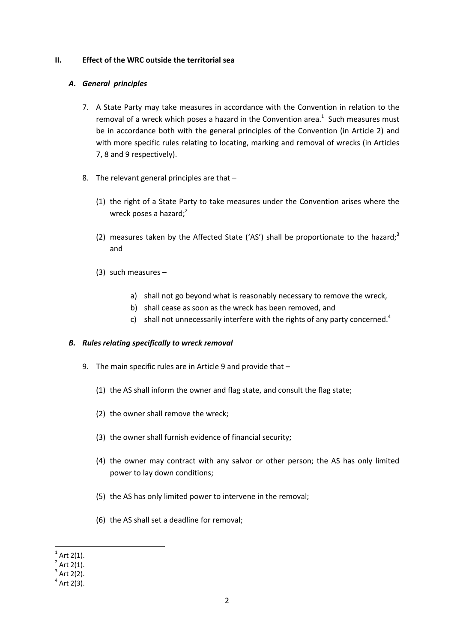### II. Effect of the WRC outside the territorial sea

# A. General principles

- 7. A State Party may take measures in accordance with the Convention in relation to the removal of a wreck which poses a hazard in the Convention area.<sup>1</sup> Such measures must be in accordance both with the general principles of the Convention (in Article 2) and with more specific rules relating to locating, marking and removal of wrecks (in Articles 7, 8 and 9 respectively).
- 8. The relevant general principles are that
	- (1) the right of a State Party to take measures under the Convention arises where the wreck poses a hazard; $2$
	- (2) measures taken by the Affected State ('AS') shall be proportionate to the hazard;<sup>3</sup> and
	- (3) such measures
		- a) shall not go beyond what is reasonably necessary to remove the wreck,
		- b) shall cease as soon as the wreck has been removed, and
		- c) shall not unnecessarily interfere with the rights of any party concerned.<sup>4</sup>

# B. Rules relating specifically to wreck removal

- 9. The main specific rules are in Article 9 and provide that
	- (1) the AS shall inform the owner and flag state, and consult the flag state;
	- (2) the owner shall remove the wreck;
	- (3) the owner shall furnish evidence of financial security;
	- (4) the owner may contract with any salvor or other person; the AS has only limited power to lay down conditions;
	- (5) the AS has only limited power to intervene in the removal;
	- (6) the AS shall set a deadline for removal;

l

<sup>1</sup> Art 2(1).

<sup>2</sup> Art 2(1).

<sup>3</sup> Art 2(2).

<sup>4</sup> Art 2(3).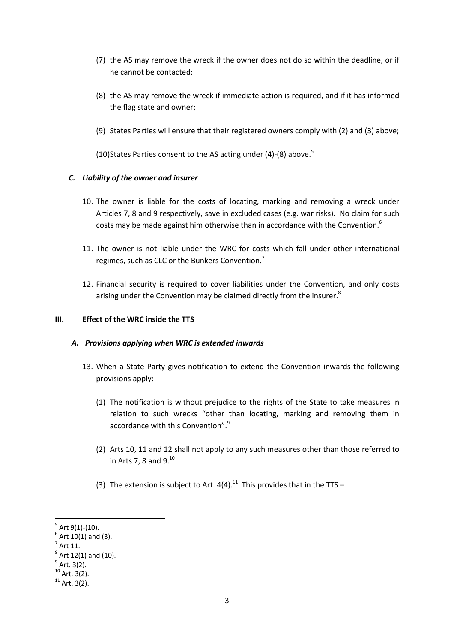- (7) the AS may remove the wreck if the owner does not do so within the deadline, or if he cannot be contacted;
- (8) the AS may remove the wreck if immediate action is required, and if it has informed the flag state and owner;
- (9) States Parties will ensure that their registered owners comply with (2) and (3) above;

(10) States Parties consent to the AS acting under  $(4)-(8)$  above.<sup>5</sup>

# C. Liability of the owner and insurer

- 10. The owner is liable for the costs of locating, marking and removing a wreck under Articles 7, 8 and 9 respectively, save in excluded cases (e.g. war risks). No claim for such costs may be made against him otherwise than in accordance with the Convention.<sup>6</sup>
- 11. The owner is not liable under the WRC for costs which fall under other international regimes, such as CLC or the Bunkers Convention.<sup>7</sup>
- 12. Financial security is required to cover liabilities under the Convention, and only costs arising under the Convention may be claimed directly from the insurer.<sup>8</sup>

# III. Effect of the WRC inside the TTS

# A. Provisions applying when WRC is extended inwards

- 13. When a State Party gives notification to extend the Convention inwards the following provisions apply:
	- (1) The notification is without prejudice to the rights of the State to take measures in relation to such wrecks "other than locating, marking and removing them in accordance with this Convention".<sup>9</sup>
	- (2) Arts 10, 11 and 12 shall not apply to any such measures other than those referred to in Arts 7, 8 and  $9.^{10}$
	- (3) The extension is subject to Art.  $4(4).^{11}$  This provides that in the TTS –

 $\overline{a}$ 

 $^5$  Art 9(1)-(10).

Art 10(1) and (3).

<sup>7</sup> Art 11.

 $^8$  Art 12(1) and (10).

<sup>9</sup> Art. 3(2).

 $10$  Art. 3(2).

 $11$  Art. 3(2).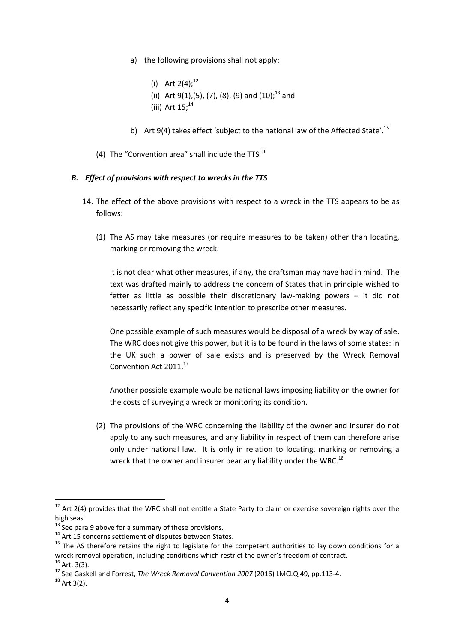- a) the following provisions shall not apply:
	- (i) Art  $2(4)$ ;<sup>12</sup> (ii) Art 9(1),(5), (7), (8), (9) and  $(10)$ ;<sup>13</sup> and (iii) Art  $15$ : $^{14}$
- b) Art 9(4) takes effect 'subject to the national law of the Affected State'.<sup>15</sup>
- (4) The "Convention area" shall include the TTS.  $^{16}$

# B. Effect of provisions with respect to wrecks in the TTS

- 14. The effect of the above provisions with respect to a wreck in the TTS appears to be as follows:
	- (1) The AS may take measures (or require measures to be taken) other than locating, marking or removing the wreck.

It is not clear what other measures, if any, the draftsman may have had in mind. The text was drafted mainly to address the concern of States that in principle wished to fetter as little as possible their discretionary law-making powers – it did not necessarily reflect any specific intention to prescribe other measures.

One possible example of such measures would be disposal of a wreck by way of sale. The WRC does not give this power, but it is to be found in the laws of some states: in the UK such a power of sale exists and is preserved by the Wreck Removal Convention Act 2011.<sup>17</sup>

Another possible example would be national laws imposing liability on the owner for the costs of surveying a wreck or monitoring its condition.

(2) The provisions of the WRC concerning the liability of the owner and insurer do not apply to any such measures, and any liability in respect of them can therefore arise only under national law. It is only in relation to locating, marking or removing a wreck that the owner and insurer bear any liability under the WRC.<sup>18</sup>

l

 $12$  Art 2(4) provides that the WRC shall not entitle a State Party to claim or exercise sovereign rights over the high seas.

 $13$  See para 9 above for a summary of these provisions.

<sup>14</sup> Art 15 concerns settlement of disputes between States.

<sup>&</sup>lt;sup>15</sup> The AS therefore retains the right to legislate for the competent authorities to lay down conditions for a wreck removal operation, including conditions which restrict the owner's freedom of contract.  $16$  Art. 3(3).

<sup>17</sup> See Gaskell and Forrest, The Wreck Removal Convention 2007 (2016) LMCLQ 49, pp.113-4.

 $18$  Art 3(2).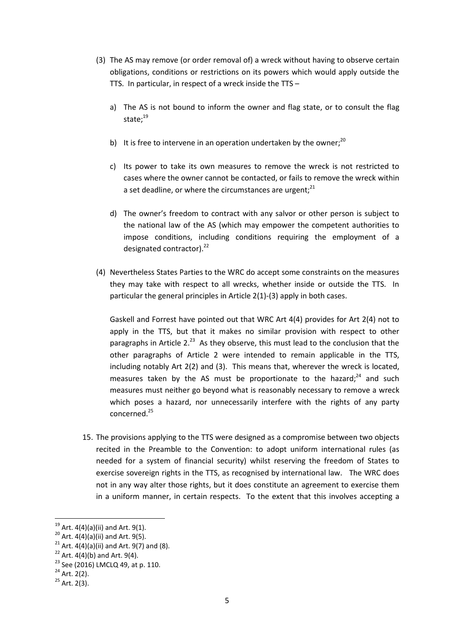- (3) The AS may remove (or order removal of) a wreck without having to observe certain obligations, conditions or restrictions on its powers which would apply outside the TTS. In particular, in respect of a wreck inside the TTS –
	- a) The AS is not bound to inform the owner and flag state, or to consult the flag state;<sup>19</sup>
	- b) It is free to intervene in an operation undertaken by the owner;<sup>20</sup>
	- c) Its power to take its own measures to remove the wreck is not restricted to cases where the owner cannot be contacted, or fails to remove the wreck within a set deadline, or where the circumstances are urgent; $^{21}$
	- d) The owner's freedom to contract with any salvor or other person is subject to the national law of the AS (which may empower the competent authorities to impose conditions, including conditions requiring the employment of a designated contractor). $^{22}$
- (4) Nevertheless States Parties to the WRC do accept some constraints on the measures they may take with respect to all wrecks, whether inside or outside the TTS. In particular the general principles in Article 2(1)-(3) apply in both cases.

Gaskell and Forrest have pointed out that WRC Art 4(4) provides for Art 2(4) not to apply in the TTS, but that it makes no similar provision with respect to other paragraphs in Article  $2^{23}$  As they observe, this must lead to the conclusion that the other paragraphs of Article 2 were intended to remain applicable in the TTS, including notably Art 2(2) and (3). This means that, wherever the wreck is located, measures taken by the AS must be proportionate to the hazard; $^{24}$  and such measures must neither go beyond what is reasonably necessary to remove a wreck which poses a hazard, nor unnecessarily interfere with the rights of any party concerned.<sup>25</sup>

15. The provisions applying to the TTS were designed as a compromise between two objects recited in the Preamble to the Convention: to adopt uniform international rules (as needed for a system of financial security) whilst reserving the freedom of States to exercise sovereign rights in the TTS, as recognised by international law. The WRC does not in any way alter those rights, but it does constitute an agreement to exercise them in a uniform manner, in certain respects. To the extent that this involves accepting a

 $\overline{a}$ 

 $19$  Art. 4(4)(a)(ii) and Art. 9(1).

 $^{20}$  Art. 4(4)(a)(ii) and Art. 9(5).

<sup>&</sup>lt;sup>21</sup> Art. 4(4)(a)(ii) and Art. 9(7) and (8).

 $22$  Art. 4(4)(b) and Art. 9(4).

<sup>&</sup>lt;sup>23</sup> See (2016) LMCLQ 49, at p. 110.

 $24$  Art. 2(2).

 $25$  Art. 2(3).